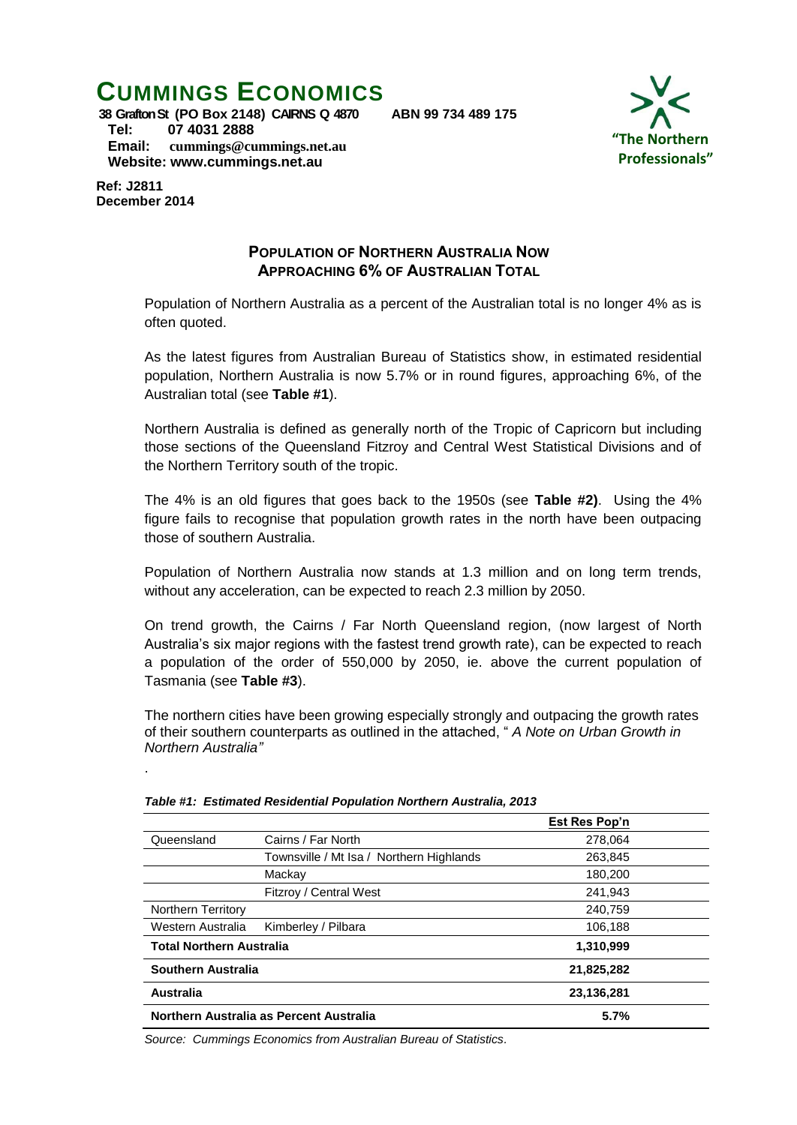# **CUMMINGS ECONOMICS**



**38 Grafton St (PO Box 2148) CAIRNS Q 4870 ABN 99 734 489 175 Tel: 07 4031 2888 Email: [cummings@cummings.net.au](mailto:cummings@cummings.net.au) Website: www.cummings.net.au**

**Ref: J2811 December 2014**

.

## **POPULATION OF NORTHERN AUSTRALIA NOW APPROACHING 6% OF AUSTRALIAN TOTAL**

Population of Northern Australia as a percent of the Australian total is no longer 4% as is often quoted.

As the latest figures from Australian Bureau of Statistics show, in estimated residential population, Northern Australia is now 5.7% or in round figures, approaching 6%, of the Australian total (see **Table #1**).

Northern Australia is defined as generally north of the Tropic of Capricorn but including those sections of the Queensland Fitzroy and Central West Statistical Divisions and of the Northern Territory south of the tropic.

The 4% is an old figures that goes back to the 1950s (see **Table #2)**. Using the 4% figure fails to recognise that population growth rates in the north have been outpacing those of southern Australia.

Population of Northern Australia now stands at 1.3 million and on long term trends, without any acceleration, can be expected to reach 2.3 million by 2050.

On trend growth, the Cairns / Far North Queensland region, (now largest of North Australia's six major regions with the fastest trend growth rate), can be expected to reach a population of the order of 550,000 by 2050, ie. above the current population of Tasmania (see **Table #3**).

The northern cities have been growing especially strongly and outpacing the growth rates of their southern counterparts as outlined in the attached, " *A Note on Urban Growth in Northern Australia"*

|                                         |                                          | Est Res Pop'n |  |
|-----------------------------------------|------------------------------------------|---------------|--|
| Queensland                              | Cairns / Far North                       | 278,064       |  |
|                                         | Townsville / Mt Isa / Northern Highlands | 263,845       |  |
|                                         | Mackay                                   | 180,200       |  |
|                                         | Fitzroy / Central West                   | 241,943       |  |
| <b>Northern Territory</b>               |                                          | 240,759       |  |
| Western Australia                       | Kimberley / Pilbara                      | 106,188       |  |
| <b>Total Northern Australia</b>         |                                          | 1,310,999     |  |
| Southern Australia                      |                                          | 21,825,282    |  |
| Australia                               |                                          | 23,136,281    |  |
| Northern Australia as Percent Australia |                                          | 5.7%          |  |

*Table #1: Estimated Residential Population Northern Australia, 2013*

*Source: Cummings Economics from Australian Bureau of Statistics.*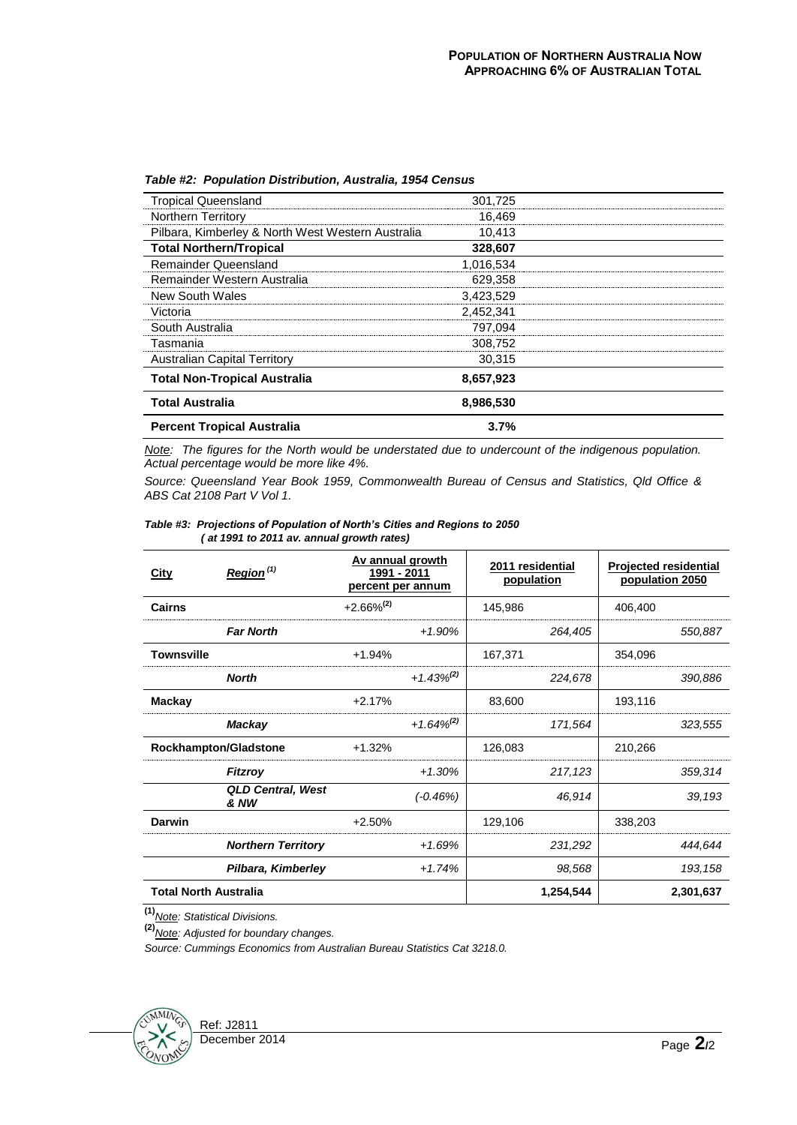| <b>Percent Tropical Australia</b>                 | 3.7%      |  |
|---------------------------------------------------|-----------|--|
| <b>Total Australia</b>                            | 8,986,530 |  |
| <b>Total Non-Tropical Australia</b>               | 8,657,923 |  |
| <b>Australian Capital Territory</b>               | 30,315    |  |
| Tasmania                                          | 308,752   |  |
| South Australia                                   | 797.094   |  |
| Victoria                                          | 2.452.341 |  |
| New South Wales                                   | 3,423,529 |  |
| Remainder Western Australia                       | 629.358   |  |
| <b>Remainder Queensland</b>                       | 1,016,534 |  |
| <b>Total Northern/Tropical</b>                    | 328,607   |  |
| Pilbara, Kimberley & North West Western Australia | 10,413    |  |
| <b>Northern Territory</b>                         | 16,469    |  |
| <b>Tropical Queensland</b>                        | 301,725   |  |

#### *Table #2: Population Distribution, Australia, 1954 Census*

*Note: The figures for the North would be understated due to undercount of the indigenous population. Actual percentage would be more like 4%.*

*Source: Queensland Year Book 1959, Commonwealth Bureau of Census and Statistics, Qld Office & ABS Cat 2108 Part V Vol 1.*

| City                         | Region <sup>(1)</sup>            | Av annual growth<br>1991 - 2011<br>percent per annum |                 | 2011 residential<br>population |           | <b>Projected residential</b><br>population 2050 |           |
|------------------------------|----------------------------------|------------------------------------------------------|-----------------|--------------------------------|-----------|-------------------------------------------------|-----------|
| Cairns                       |                                  | $+2.66\%^{(2)}$                                      |                 | 145,986                        |           | 406,400                                         |           |
|                              | <b>Far North</b>                 |                                                      | $+1.90%$        |                                | 264,405   |                                                 | 550,887   |
| <b>Townsville</b>            |                                  | $+1.94%$                                             |                 | 167,371                        |           | 354,096                                         |           |
|                              | <b>North</b>                     |                                                      | $+1.43\%^{(2)}$ |                                | 224,678   |                                                 | 390,886   |
| <b>Mackay</b>                |                                  | $+2.17%$                                             |                 | 83,600                         |           | 193,116                                         |           |
|                              | Mackay                           |                                                      | $+1.64\%^{(2)}$ |                                | 171,564   |                                                 | 323,555   |
|                              | Rockhampton/Gladstone            | $+1.32%$                                             |                 | 126,083                        |           | 210,266                                         |           |
|                              | <b>Fitzroy</b>                   |                                                      | $+1.30%$        |                                | 217,123   |                                                 | 359,314   |
|                              | <b>QLD Central, West</b><br>& NW |                                                      | $(-0.46%)$      |                                | 46,914    |                                                 | 39,193    |
| <b>Darwin</b>                |                                  | $+2.50%$                                             |                 | 129,106                        |           | 338,203                                         |           |
|                              | <b>Northern Territory</b>        |                                                      | $+1.69%$        |                                | 231,292   |                                                 | 444,644   |
|                              | Pilbara, Kimberley               |                                                      | $+1.74%$        |                                | 98,568    |                                                 | 193, 158  |
| <b>Total North Australia</b> |                                  |                                                      |                 |                                | 1,254,544 |                                                 | 2,301,637 |

#### *Table #3: Projections of Population of North's Cities and Regions to 2050 ( at 1991 to 2011 av. annual growth rates)*

**(1)***Note: Statistical Divisions.*

**(2)***Note: Adjusted for boundary changes.*

*Source: Cummings Economics from Australian Bureau Statistics Cat 3218.0.*

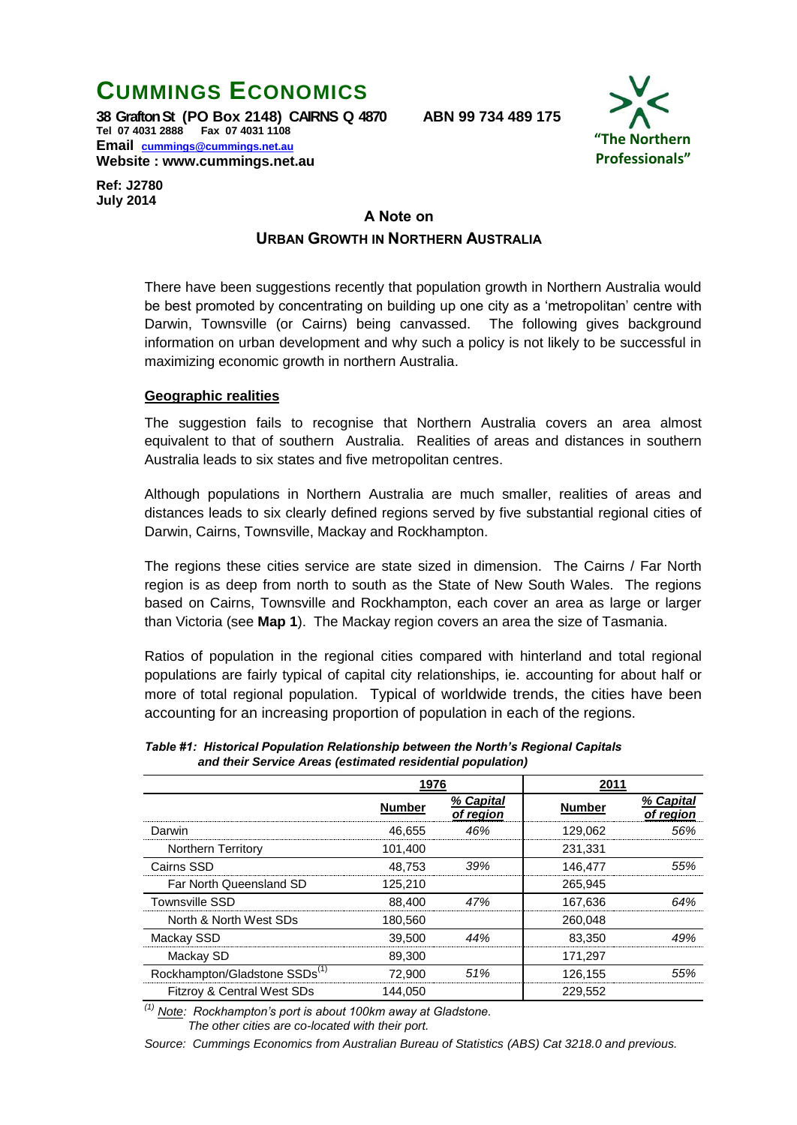# **CUMMINGS ECONOMICS**

**38 Grafton St (PO Box 2148) CAIRNS Q 4870 ABN 99 734 489 175 Tel 07 4031 2888 Fax 07 4031 1108 Email [cummings@cummings.net.au](mailto:cummings@cummings.net.au) Website : www.cummings.net.au**



**Ref: J2780 July 2014**

# **A Note on URBAN GROWTH IN NORTHERN AUSTRALIA**

There have been suggestions recently that population growth in Northern Australia would be best promoted by concentrating on building up one city as a 'metropolitan' centre with Darwin, Townsville (or Cairns) being canvassed. The following gives background information on urban development and why such a policy is not likely to be successful in maximizing economic growth in northern Australia.

#### **Geographic realities**

The suggestion fails to recognise that Northern Australia covers an area almost equivalent to that of southern Australia. Realities of areas and distances in southern Australia leads to six states and five metropolitan centres.

Although populations in Northern Australia are much smaller, realities of areas and distances leads to six clearly defined regions served by five substantial regional cities of Darwin, Cairns, Townsville, Mackay and Rockhampton.

The regions these cities service are state sized in dimension. The Cairns / Far North region is as deep from north to south as the State of New South Wales. The regions based on Cairns, Townsville and Rockhampton, each cover an area as large or larger than Victoria (see **Map 1**). The Mackay region covers an area the size of Tasmania.

Ratios of population in the regional cities compared with hinterland and total regional populations are fairly typical of capital city relationships, ie. accounting for about half or more of total regional population. Typical of worldwide trends, the cities have been accounting for an increasing proportion of population in each of the regions.

|                                           | 1976          |                        | 2011          |                        |
|-------------------------------------------|---------------|------------------------|---------------|------------------------|
|                                           | <b>Number</b> | % Capital<br>of region | <b>Number</b> | % Capital<br>of region |
| Darwin                                    | 46.655        | 46%                    | 129.062       | .56%                   |
| <b>Northern Territory</b>                 | 101.400       |                        | 231.331       |                        |
| Cairns SSD                                | 48.753        | 39%                    | 146.477       | .55%                   |
| Far North Queensland SD                   | 125,210       |                        | 265.945       |                        |
| <b>Townsville SSD</b>                     | 88.400        | 47%                    | 167.636       | 64%                    |
| North & North West SDs                    | 180,560       |                        | 260.048       |                        |
| Mackay SSD                                | 39,500        | 44%                    | 83.350        |                        |
| Mackay SD                                 | 89.300        |                        | 171,297       |                        |
| Rockhampton/Gladstone SSDs <sup>(1)</sup> | 72.900        | 51%                    | 126.155       |                        |
| Fitzroy & Central West SDs                | 144,050       |                        | 229,552       |                        |

*Table #1: Historical Population Relationship between the North's Regional Capitals and their Service Areas (estimated residential population)*

*(1) Note: Rockhampton's port is about 100km away at Gladstone. The other cities are co-located with their port.*

*Source: Cummings Economics from Australian Bureau of Statistics (ABS) Cat 3218.0 and previous.*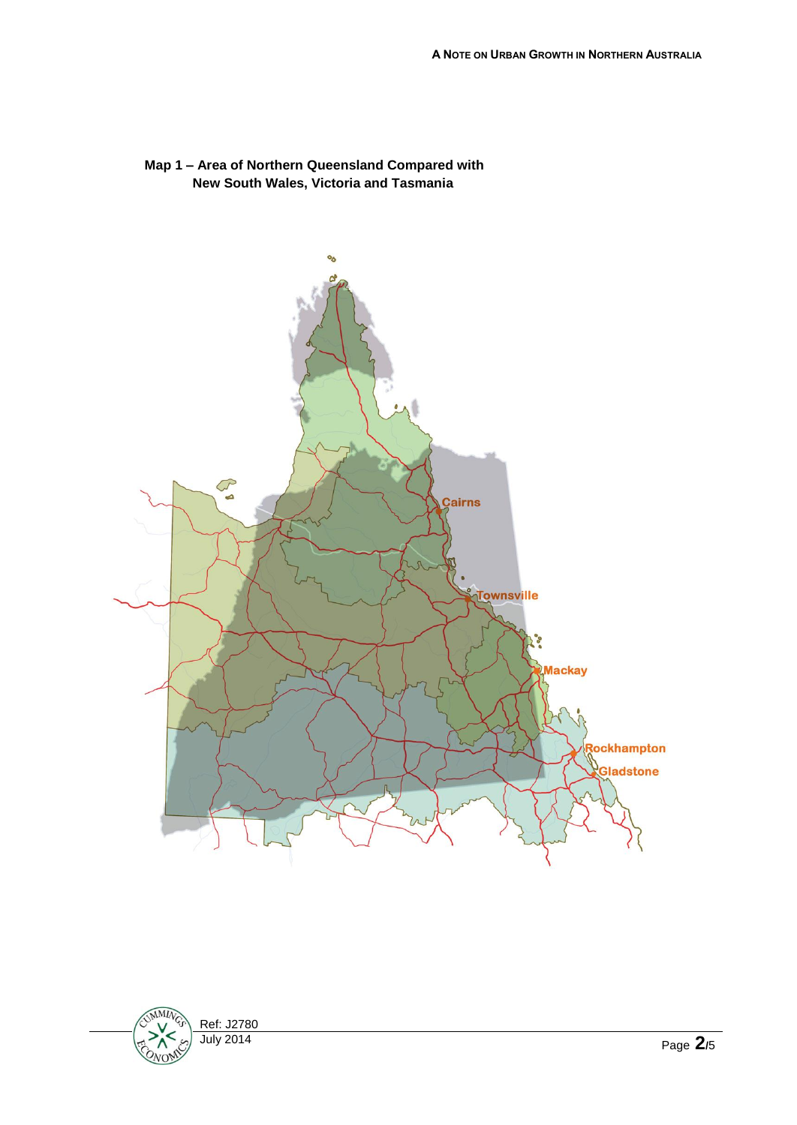

### **Map 1 – Area of Northern Queensland Compared with New South Wales, Victoria and Tasmania**

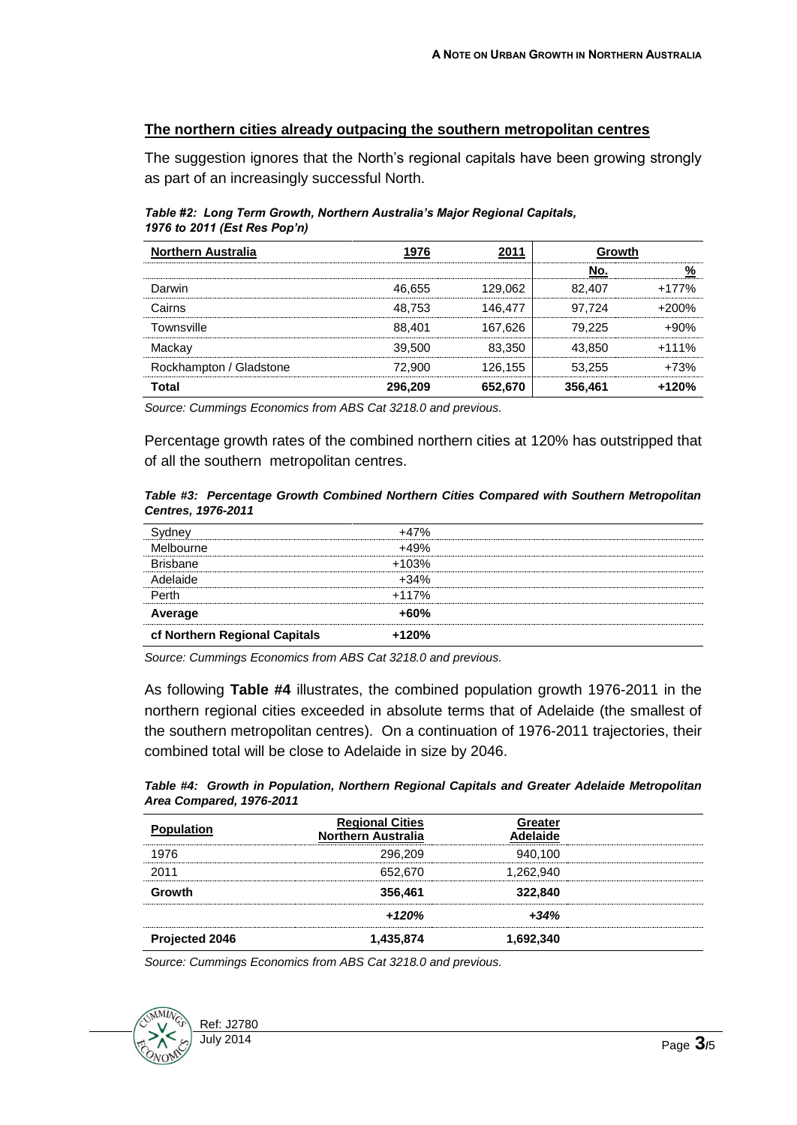#### **The northern cities already outpacing the southern metropolitan centres**

The suggestion ignores that the North's regional capitals have been growing strongly as part of an increasingly successful North.

*Table #2: Long Term Growth, Northern Australia's Major Regional Capitals, 1976 to 2011 (Est Res Pop'n)*

| <b>Northern Australia</b> |         |         | Growth  |         |
|---------------------------|---------|---------|---------|---------|
|                           |         |         | งก      |         |
| Darwin                    | 46.655  | 29.062  | 82 407  | $+177%$ |
| Cairns                    | 48.753  | 146.477 | 97.724  | ገበ%     |
| Townsville                | 88,401  | 167.626 | 79.225  |         |
| Mackav                    | 39,500  | 83.350  | 43.850  | $+111%$ |
| Rockhampton / Gladstone   | 72.900  | 126.155 | 53.255  | +73%    |
| Total                     | 296,209 | 652.670 | 356,461 | $+120%$ |

*Source: Cummings Economics from ABS Cat 3218.0 and previous.*

Percentage growth rates of the combined northern cities at 120% has outstripped that of all the southern metropolitan centres.

*Table #3: Percentage Growth Combined Northern Cities Compared with Southern Metropolitan Centres, 1976-2011*

| cf Northern Regional Capitals | +120%   |  |
|-------------------------------|---------|--|
| Average                       | $+60%$  |  |
| Perth                         | +117%   |  |
| ahirlah                       | $+34%$  |  |
| <b>Brishane</b>               | $+103%$ |  |
| Melbourne                     | $+49%$  |  |
|                               | $+47%$  |  |

*Source: Cummings Economics from ABS Cat 3218.0 and previous.*

As following **Table #4** illustrates, the combined population growth 1976-2011 in the northern regional cities exceeded in absolute terms that of Adelaide (the smallest of the southern metropolitan centres). On a continuation of 1976-2011 trajectories, their combined total will be close to Adelaide in size by 2046.

*Table #4: Growth in Population, Northern Regional Capitals and Greater Adelaide Metropolitan Area Compared, 1976-2011*

| <b>Population</b> | <b>Regional Cities</b><br><b>Northern Australia</b> | Greater<br>ahirlah |  |
|-------------------|-----------------------------------------------------|--------------------|--|
| 1976              | 296.209                                             | 940.100            |  |
| 2011              | 652.670                                             | 1,262,940          |  |
| Growth            | 356,461                                             | 322,840            |  |
|                   | +120%                                               | $+34%$             |  |
| Projected 2046    | 1,435,874                                           | 1,692,340          |  |

*Source: Cummings Economics from ABS Cat 3218.0 and previous.*

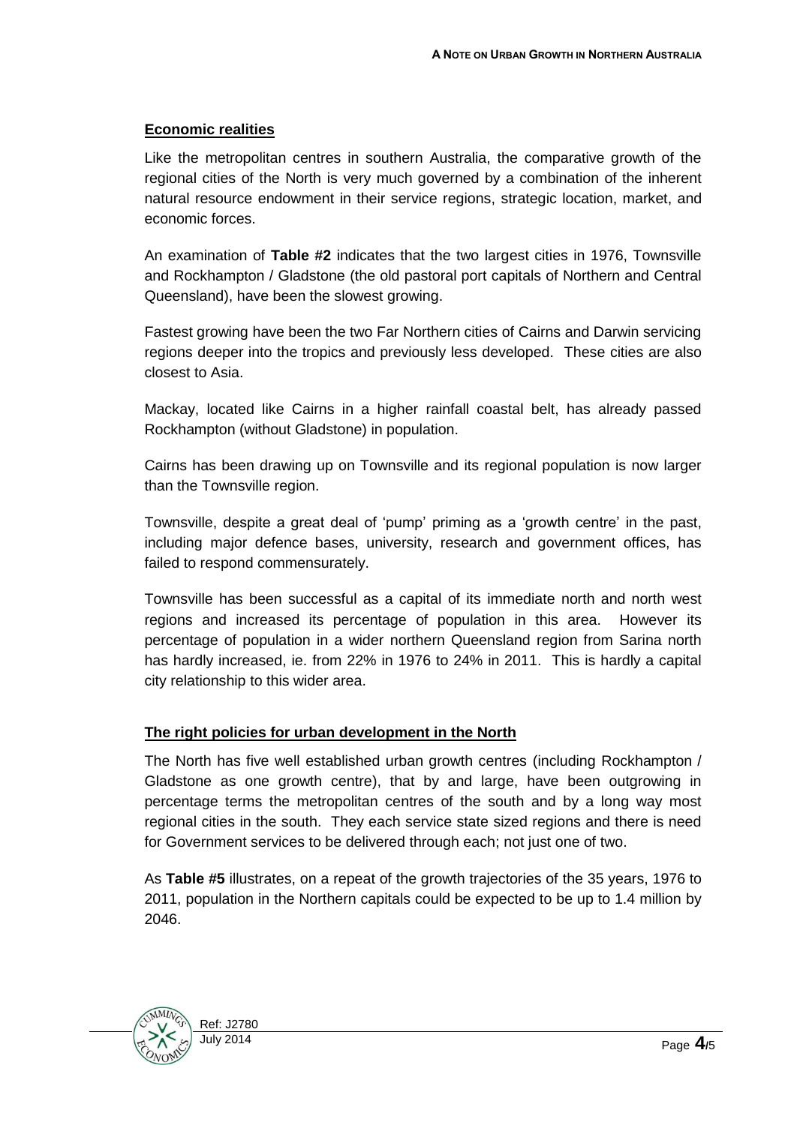### **Economic realities**

Like the metropolitan centres in southern Australia, the comparative growth of the regional cities of the North is very much governed by a combination of the inherent natural resource endowment in their service regions, strategic location, market, and economic forces.

An examination of **Table #2** indicates that the two largest cities in 1976, Townsville and Rockhampton / Gladstone (the old pastoral port capitals of Northern and Central Queensland), have been the slowest growing.

Fastest growing have been the two Far Northern cities of Cairns and Darwin servicing regions deeper into the tropics and previously less developed. These cities are also closest to Asia.

Mackay, located like Cairns in a higher rainfall coastal belt, has already passed Rockhampton (without Gladstone) in population.

Cairns has been drawing up on Townsville and its regional population is now larger than the Townsville region.

Townsville, despite a great deal of 'pump' priming as a 'growth centre' in the past, including major defence bases, university, research and government offices, has failed to respond commensurately.

Townsville has been successful as a capital of its immediate north and north west regions and increased its percentage of population in this area. However its percentage of population in a wider northern Queensland region from Sarina north has hardly increased, ie. from 22% in 1976 to 24% in 2011. This is hardly a capital city relationship to this wider area.

## **The right policies for urban development in the North**

The North has five well established urban growth centres (including Rockhampton / Gladstone as one growth centre), that by and large, have been outgrowing in percentage terms the metropolitan centres of the south and by a long way most regional cities in the south. They each service state sized regions and there is need for Government services to be delivered through each; not just one of two.

As **Table #5** illustrates, on a repeat of the growth trajectories of the 35 years, 1976 to 2011, population in the Northern capitals could be expected to be up to 1.4 million by 2046.